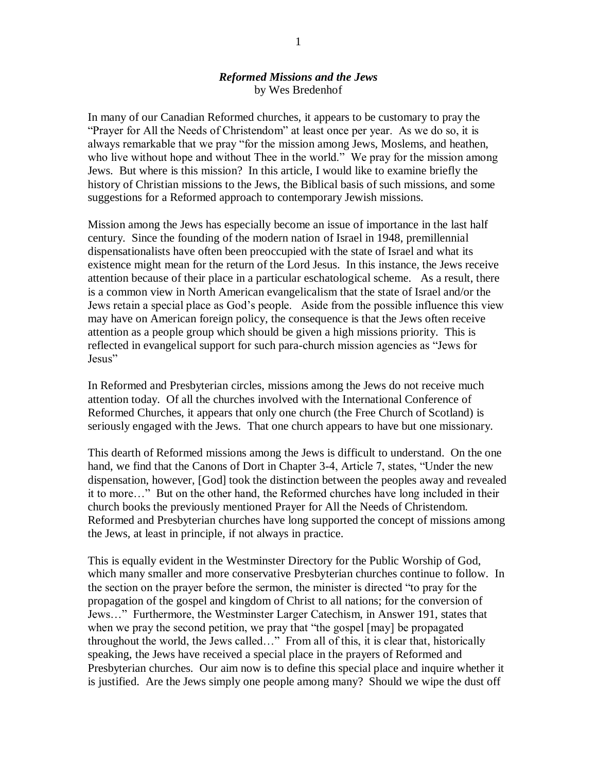### *Reformed Missions and the Jews* by Wes Bredenhof

In many of our Canadian Reformed churches, it appears to be customary to pray the "Prayer for All the Needs of Christendom" at least once per year. As we do so, it is always remarkable that we pray "for the mission among Jews, Moslems, and heathen, who live without hope and without Thee in the world." We pray for the mission among Jews. But where is this mission? In this article, I would like to examine briefly the history of Christian missions to the Jews, the Biblical basis of such missions, and some suggestions for a Reformed approach to contemporary Jewish missions.

Mission among the Jews has especially become an issue of importance in the last half century. Since the founding of the modern nation of Israel in 1948, premillennial dispensationalists have often been preoccupied with the state of Israel and what its existence might mean for the return of the Lord Jesus. In this instance, the Jews receive attention because of their place in a particular eschatological scheme. As a result, there is a common view in North American evangelicalism that the state of Israel and/or the Jews retain a special place as God"s people. Aside from the possible influence this view may have on American foreign policy, the consequence is that the Jews often receive attention as a people group which should be given a high missions priority. This is reflected in evangelical support for such para-church mission agencies as "Jews for Jesus"

In Reformed and Presbyterian circles, missions among the Jews do not receive much attention today. Of all the churches involved with the International Conference of Reformed Churches, it appears that only one church (the Free Church of Scotland) is seriously engaged with the Jews. That one church appears to have but one missionary.

This dearth of Reformed missions among the Jews is difficult to understand. On the one hand, we find that the Canons of Dort in Chapter 3-4, Article 7, states, "Under the new dispensation, however, [God] took the distinction between the peoples away and revealed it to more…" But on the other hand, the Reformed churches have long included in their church books the previously mentioned Prayer for All the Needs of Christendom. Reformed and Presbyterian churches have long supported the concept of missions among the Jews, at least in principle, if not always in practice.

This is equally evident in the Westminster Directory for the Public Worship of God, which many smaller and more conservative Presbyterian churches continue to follow. In the section on the prayer before the sermon, the minister is directed "to pray for the propagation of the gospel and kingdom of Christ to all nations; for the conversion of Jews…" Furthermore, the Westminster Larger Catechism, in Answer 191, states that when we pray the second petition, we pray that "the gospel [may] be propagated throughout the world, the Jews called…" From all of this, it is clear that, historically speaking, the Jews have received a special place in the prayers of Reformed and Presbyterian churches. Our aim now is to define this special place and inquire whether it is justified. Are the Jews simply one people among many? Should we wipe the dust off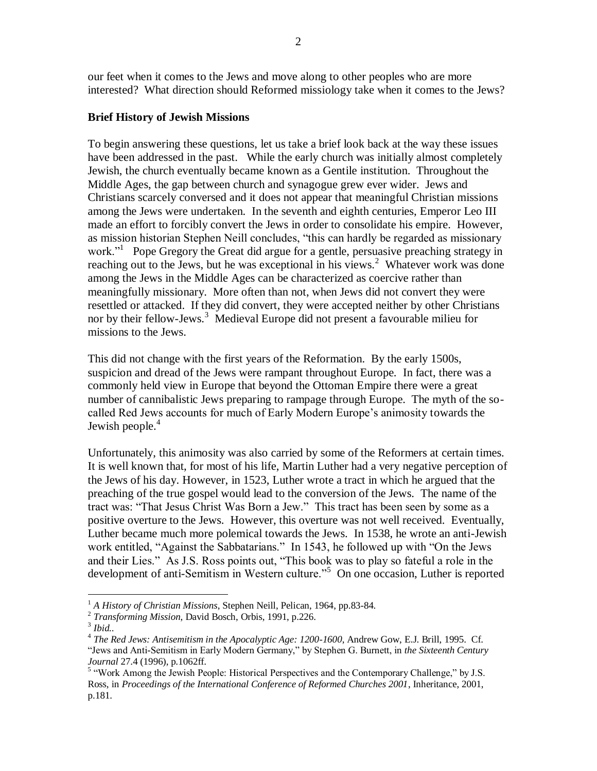our feet when it comes to the Jews and move along to other peoples who are more interested? What direction should Reformed missiology take when it comes to the Jews?

# **Brief History of Jewish Missions**

To begin answering these questions, let us take a brief look back at the way these issues have been addressed in the past. While the early church was initially almost completely Jewish, the church eventually became known as a Gentile institution. Throughout the Middle Ages, the gap between church and synagogue grew ever wider. Jews and Christians scarcely conversed and it does not appear that meaningful Christian missions among the Jews were undertaken. In the seventh and eighth centuries, Emperor Leo III made an effort to forcibly convert the Jews in order to consolidate his empire. However, as mission historian Stephen Neill concludes, "this can hardly be regarded as missionary work."<sup>1</sup> Pope Gregory the Great did argue for a gentle, persuasive preaching strategy in reaching out to the Jews, but he was exceptional in his views.<sup>2</sup> Whatever work was done among the Jews in the Middle Ages can be characterized as coercive rather than meaningfully missionary. More often than not, when Jews did not convert they were resettled or attacked. If they did convert, they were accepted neither by other Christians nor by their fellow-Jews.<sup>3</sup> Medieval Europe did not present a favourable milieu for missions to the Jews.

This did not change with the first years of the Reformation. By the early 1500s, suspicion and dread of the Jews were rampant throughout Europe. In fact, there was a commonly held view in Europe that beyond the Ottoman Empire there were a great number of cannibalistic Jews preparing to rampage through Europe. The myth of the socalled Red Jews accounts for much of Early Modern Europe's animosity towards the Jewish people.<sup>4</sup>

Unfortunately, this animosity was also carried by some of the Reformers at certain times. It is well known that, for most of his life, Martin Luther had a very negative perception of the Jews of his day. However, in 1523, Luther wrote a tract in which he argued that the preaching of the true gospel would lead to the conversion of the Jews. The name of the tract was: "That Jesus Christ Was Born a Jew." This tract has been seen by some as a positive overture to the Jews. However, this overture was not well received. Eventually, Luther became much more polemical towards the Jews. In 1538, he wrote an anti-Jewish work entitled, "Against the Sabbatarians." In 1543, he followed up with "On the Jews and their Lies." As J.S. Ross points out, "This book was to play so fateful a role in the development of anti-Semitism in Western culture."<sup>5</sup> On one occasion, Luther is reported

<sup>&</sup>lt;sup>1</sup> *A History of Christian Missions*, Stephen Neill, Pelican, 1964, pp.83-84.

<sup>2</sup> *Transforming Mission*, David Bosch, Orbis, 1991, p.226.

<sup>3</sup> *Ibid.*.

<sup>4</sup> *The Red Jews: Antisemitism in the Apocalyptic Age: 1200-1600*, Andrew Gow, E.J. Brill, 1995. Cf. "Jews and Anti-Semitism in Early Modern Germany," by Stephen G. Burnett, in *the Sixteenth Century Journal* 27.4 (1996), p.1062ff. 5 "Work Among the Jewish People: Historical Perspectives and the Contemporary Challenge," by J.S.

Ross, in *Proceedings of the International Conference of Reformed Churches 2001*, Inheritance, 2001, p.181.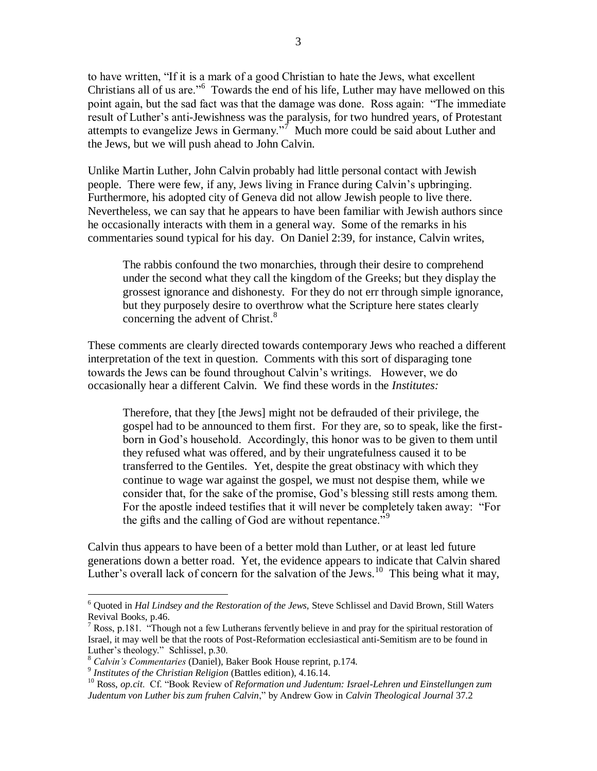to have written, "If it is a mark of a good Christian to hate the Jews, what excellent Christians all of us are."<sup>6</sup> Towards the end of his life, Luther may have mellowed on this point again, but the sad fact was that the damage was done. Ross again: "The immediate result of Luther"s anti-Jewishness was the paralysis, for two hundred years, of Protestant attempts to evangelize Jews in Germany."<sup>7</sup> Much more could be said about Luther and the Jews, but we will push ahead to John Calvin.

Unlike Martin Luther, John Calvin probably had little personal contact with Jewish people. There were few, if any, Jews living in France during Calvin"s upbringing. Furthermore, his adopted city of Geneva did not allow Jewish people to live there. Nevertheless, we can say that he appears to have been familiar with Jewish authors since he occasionally interacts with them in a general way. Some of the remarks in his commentaries sound typical for his day. On Daniel 2:39, for instance, Calvin writes,

The rabbis confound the two monarchies, through their desire to comprehend under the second what they call the kingdom of the Greeks; but they display the grossest ignorance and dishonesty. For they do not err through simple ignorance, but they purposely desire to overthrow what the Scripture here states clearly concerning the advent of Christ.<sup>8</sup>

These comments are clearly directed towards contemporary Jews who reached a different interpretation of the text in question. Comments with this sort of disparaging tone towards the Jews can be found throughout Calvin"s writings. However, we do occasionally hear a different Calvin. We find these words in the *Institutes:*

Therefore, that they [the Jews] might not be defrauded of their privilege, the gospel had to be announced to them first. For they are, so to speak, like the firstborn in God"s household. Accordingly, this honor was to be given to them until they refused what was offered, and by their ungratefulness caused it to be transferred to the Gentiles. Yet, despite the great obstinacy with which they continue to wage war against the gospel, we must not despise them, while we consider that, for the sake of the promise, God's blessing still rests among them. For the apostle indeed testifies that it will never be completely taken away: "For the gifts and the calling of God are without repentance."<sup>9</sup>

Calvin thus appears to have been of a better mold than Luther, or at least led future generations down a better road. Yet, the evidence appears to indicate that Calvin shared Luther's overall lack of concern for the salvation of the Jews.<sup>10</sup> This being what it may,

<sup>6</sup> Quoted in *Hal Lindsey and the Restoration of the Jews,* Steve Schlissel and David Brown, Still Waters Revival Books, p.46.

 $<sup>7</sup>$  Ross, p.181. "Though not a few Lutherans fervently believe in and pray for the spiritual restoration of</sup> Israel, it may well be that the roots of Post-Reformation ecclesiastical anti-Semitism are to be found in Luther"s theology." Schlissel, p.30.

<sup>8</sup> *Calvin's Commentaries* (Daniel), Baker Book House reprint, p.174.

<sup>9</sup> *Institutes of the Christian Religion* (Battles edition), 4.16.14.

<sup>10</sup> Ross, *op.cit*. Cf. "Book Review of *Reformation und Judentum: Israel-Lehren und Einstellungen zum Judentum von Luther bis zum fruhen Calvin*," by Andrew Gow in *Calvin Theological Journal* 37.2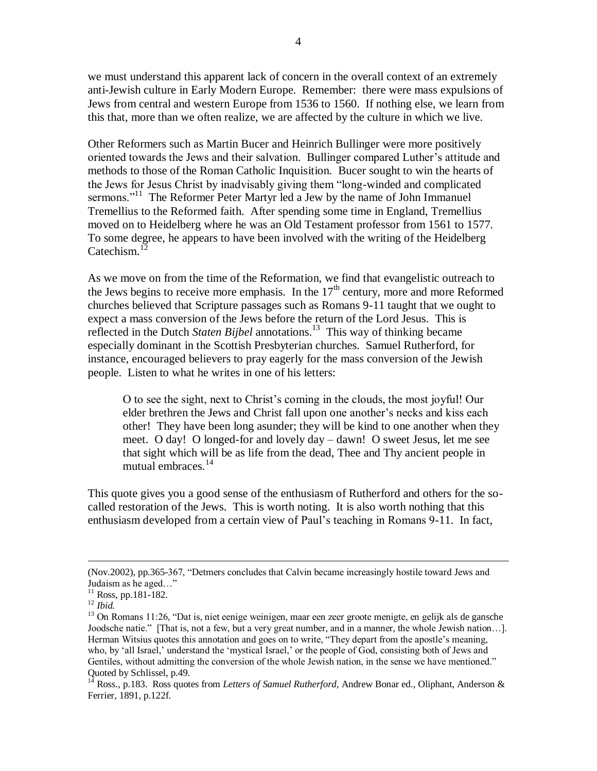we must understand this apparent lack of concern in the overall context of an extremely anti-Jewish culture in Early Modern Europe. Remember: there were mass expulsions of Jews from central and western Europe from 1536 to 1560. If nothing else, we learn from this that, more than we often realize, we are affected by the culture in which we live.

Other Reformers such as Martin Bucer and Heinrich Bullinger were more positively oriented towards the Jews and their salvation. Bullinger compared Luther"s attitude and methods to those of the Roman Catholic Inquisition. Bucer sought to win the hearts of the Jews for Jesus Christ by inadvisably giving them "long-winded and complicated sermons."<sup>11</sup> The Reformer Peter Martyr led a Jew by the name of John Immanuel Tremellius to the Reformed faith. After spending some time in England, Tremellius moved on to Heidelberg where he was an Old Testament professor from 1561 to 1577. To some degree, he appears to have been involved with the writing of the Heidelberg Catechism. $^{12}$ 

As we move on from the time of the Reformation, we find that evangelistic outreach to the Jews begins to receive more emphasis. In the  $17<sup>th</sup>$  century, more and more Reformed churches believed that Scripture passages such as Romans 9-11 taught that we ought to expect a mass conversion of the Jews before the return of the Lord Jesus. This is reflected in the Dutch *Staten Bijbel* annotations.<sup>13</sup> This way of thinking became especially dominant in the Scottish Presbyterian churches. Samuel Rutherford, for instance, encouraged believers to pray eagerly for the mass conversion of the Jewish people. Listen to what he writes in one of his letters:

O to see the sight, next to Christ"s coming in the clouds, the most joyful! Our elder brethren the Jews and Christ fall upon one another"s necks and kiss each other! They have been long asunder; they will be kind to one another when they meet. O day! O longed-for and lovely day – dawn! O sweet Jesus, let me see that sight which will be as life from the dead, Thee and Thy ancient people in mutual embraces.<sup>14</sup>

This quote gives you a good sense of the enthusiasm of Rutherford and others for the socalled restoration of the Jews. This is worth noting. It is also worth nothing that this enthusiasm developed from a certain view of Paul"s teaching in Romans 9-11. In fact,

<sup>(</sup>Nov.2002), pp.365-367, "Detmers concludes that Calvin became increasingly hostile toward Jews and Judaism as he aged…"

 $11$  Ross, pp.181-182.

<sup>12</sup> *Ibid.*

<sup>&</sup>lt;sup>13</sup> On Romans 11:26, "Dat is, niet eenige weinigen, maar een zeer groote menigte, en gelijk als de gansche Joodsche natie." [That is, not a few, but a very great number, and in a manner, the whole Jewish nation…]. Herman Witsius quotes this annotation and goes on to write, "They depart from the apostle's meaning, who, by 'all Israel,' understand the 'mystical Israel,' or the people of God, consisting both of Jews and Gentiles, without admitting the conversion of the whole Jewish nation, in the sense we have mentioned." Quoted by Schlissel, p.49.

<sup>&</sup>lt;sup>14</sup> Ross., p.183. Ross quotes from *Letters of Samuel Rutherford*, Andrew Bonar ed., Oliphant, Anderson & Ferrier, 1891, p.122f.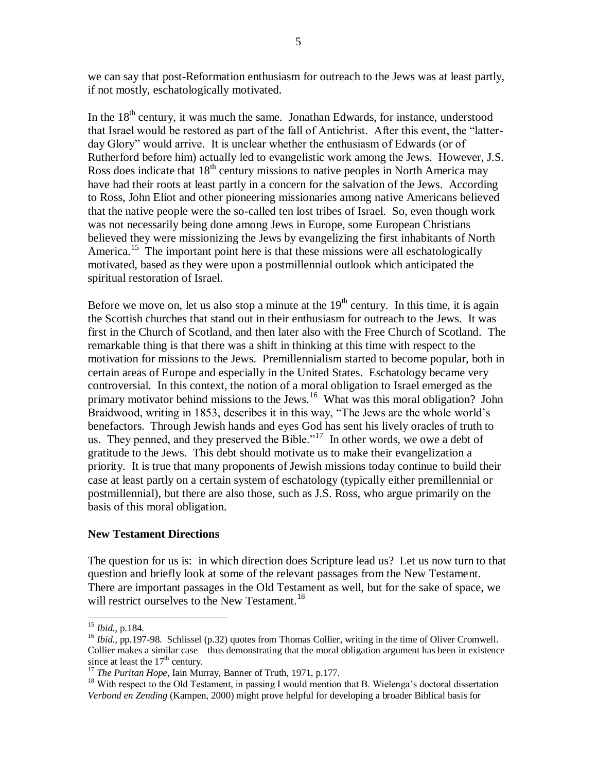we can say that post-Reformation enthusiasm for outreach to the Jews was at least partly, if not mostly, eschatologically motivated.

In the  $18<sup>th</sup>$  century, it was much the same. Jonathan Edwards, for instance, understood that Israel would be restored as part of the fall of Antichrist. After this event, the "latterday Glory" would arrive. It is unclear whether the enthusiasm of Edwards (or of Rutherford before him) actually led to evangelistic work among the Jews. However, J.S. Ross does indicate that 18<sup>th</sup> century missions to native peoples in North America may have had their roots at least partly in a concern for the salvation of the Jews. According to Ross, John Eliot and other pioneering missionaries among native Americans believed that the native people were the so-called ten lost tribes of Israel. So, even though work was not necessarily being done among Jews in Europe, some European Christians believed they were missionizing the Jews by evangelizing the first inhabitants of North America.<sup>15</sup> The important point here is that these missions were all eschatologically motivated, based as they were upon a postmillennial outlook which anticipated the spiritual restoration of Israel.

Before we move on, let us also stop a minute at the  $19<sup>th</sup>$  century. In this time, it is again the Scottish churches that stand out in their enthusiasm for outreach to the Jews. It was first in the Church of Scotland, and then later also with the Free Church of Scotland. The remarkable thing is that there was a shift in thinking at this time with respect to the motivation for missions to the Jews. Premillennialism started to become popular, both in certain areas of Europe and especially in the United States. Eschatology became very controversial. In this context, the notion of a moral obligation to Israel emerged as the primary motivator behind missions to the Jews.<sup>16</sup> What was this moral obligation? John Braidwood, writing in 1853, describes it in this way, "The Jews are the whole world"s benefactors. Through Jewish hands and eyes God has sent his lively oracles of truth to us. They penned, and they preserved the Bible."<sup>17</sup> In other words, we owe a debt of gratitude to the Jews. This debt should motivate us to make their evangelization a priority. It is true that many proponents of Jewish missions today continue to build their case at least partly on a certain system of eschatology (typically either premillennial or postmillennial), but there are also those, such as J.S. Ross, who argue primarily on the basis of this moral obligation.

#### **New Testament Directions**

The question for us is: in which direction does Scripture lead us? Let us now turn to that question and briefly look at some of the relevant passages from the New Testament. There are important passages in the Old Testament as well, but for the sake of space, we will restrict ourselves to the New Testament.<sup>18</sup>

<sup>15</sup> *Ibid*., p.184.

<sup>&</sup>lt;sup>16</sup> *Ibid.*, pp.197-98. Schlissel (p.32) quotes from Thomas Collier, writing in the time of Oliver Cromwell. Collier makes a similar case – thus demonstrating that the moral obligation argument has been in existence since at least the  $17<sup>th</sup>$  century.

<sup>17</sup> *The Puritan Hope*, Iain Murray, Banner of Truth, 1971, p.177.

<sup>&</sup>lt;sup>18</sup> With respect to the Old Testament, in passing I would mention that B. Wielenga's doctoral dissertation *Verbond en Zending* (Kampen, 2000) might prove helpful for developing a broader Biblical basis for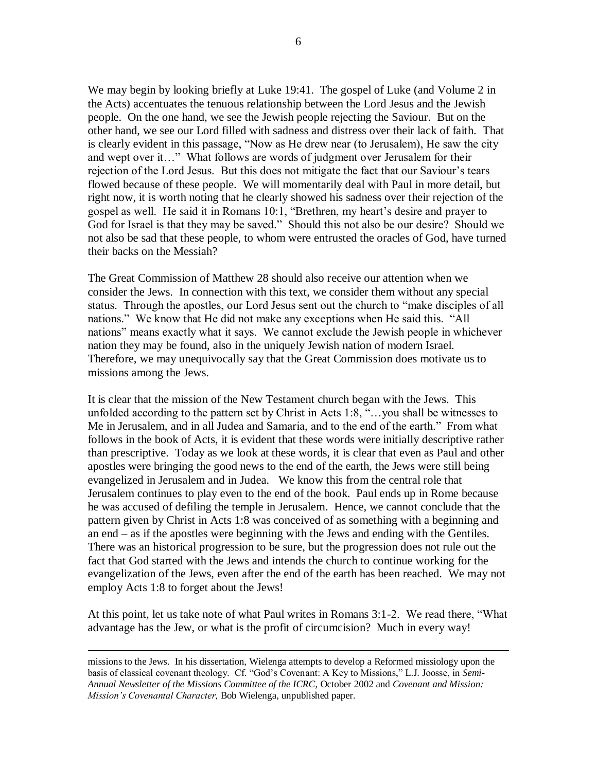We may begin by looking briefly at Luke 19:41. The gospel of Luke (and Volume 2 in the Acts) accentuates the tenuous relationship between the Lord Jesus and the Jewish people. On the one hand, we see the Jewish people rejecting the Saviour. But on the other hand, we see our Lord filled with sadness and distress over their lack of faith. That is clearly evident in this passage, "Now as He drew near (to Jerusalem), He saw the city and wept over it…" What follows are words of judgment over Jerusalem for their rejection of the Lord Jesus. But this does not mitigate the fact that our Saviour"s tears flowed because of these people. We will momentarily deal with Paul in more detail, but right now, it is worth noting that he clearly showed his sadness over their rejection of the gospel as well. He said it in Romans 10:1, "Brethren, my heart's desire and prayer to God for Israel is that they may be saved." Should this not also be our desire? Should we not also be sad that these people, to whom were entrusted the oracles of God, have turned their backs on the Messiah?

The Great Commission of Matthew 28 should also receive our attention when we consider the Jews. In connection with this text, we consider them without any special status. Through the apostles, our Lord Jesus sent out the church to "make disciples of all nations." We know that He did not make any exceptions when He said this. "All nations" means exactly what it says. We cannot exclude the Jewish people in whichever nation they may be found, also in the uniquely Jewish nation of modern Israel. Therefore, we may unequivocally say that the Great Commission does motivate us to missions among the Jews.

It is clear that the mission of the New Testament church began with the Jews. This unfolded according to the pattern set by Christ in Acts 1:8, "…you shall be witnesses to Me in Jerusalem, and in all Judea and Samaria, and to the end of the earth." From what follows in the book of Acts, it is evident that these words were initially descriptive rather than prescriptive. Today as we look at these words, it is clear that even as Paul and other apostles were bringing the good news to the end of the earth, the Jews were still being evangelized in Jerusalem and in Judea. We know this from the central role that Jerusalem continues to play even to the end of the book. Paul ends up in Rome because he was accused of defiling the temple in Jerusalem. Hence, we cannot conclude that the pattern given by Christ in Acts 1:8 was conceived of as something with a beginning and an end – as if the apostles were beginning with the Jews and ending with the Gentiles. There was an historical progression to be sure, but the progression does not rule out the fact that God started with the Jews and intends the church to continue working for the evangelization of the Jews, even after the end of the earth has been reached. We may not employ Acts 1:8 to forget about the Jews!

At this point, let us take note of what Paul writes in Romans 3:1-2. We read there, "What advantage has the Jew, or what is the profit of circumcision? Much in every way!

missions to the Jews. In his dissertation, Wielenga attempts to develop a Reformed missiology upon the basis of classical covenant theology. Cf. "God"s Covenant: A Key to Missions," L.J. Joosse, in *Semi-Annual Newsletter of the Missions Committee of the ICRC*, October 2002 and *Covenant and Mission: Mission's Covenantal Character,* Bob Wielenga, unpublished paper.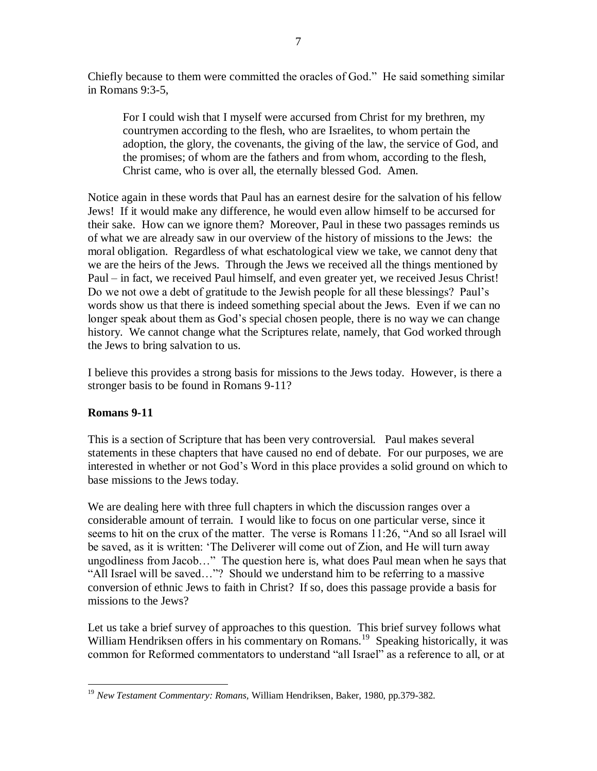Chiefly because to them were committed the oracles of God." He said something similar in Romans 9:3-5,

For I could wish that I myself were accursed from Christ for my brethren, my countrymen according to the flesh, who are Israelites, to whom pertain the adoption, the glory, the covenants, the giving of the law, the service of God, and the promises; of whom are the fathers and from whom, according to the flesh, Christ came, who is over all, the eternally blessed God. Amen.

Notice again in these words that Paul has an earnest desire for the salvation of his fellow Jews! If it would make any difference, he would even allow himself to be accursed for their sake. How can we ignore them? Moreover, Paul in these two passages reminds us of what we are already saw in our overview of the history of missions to the Jews: the moral obligation. Regardless of what eschatological view we take, we cannot deny that we are the heirs of the Jews. Through the Jews we received all the things mentioned by Paul – in fact, we received Paul himself, and even greater yet, we received Jesus Christ! Do we not owe a debt of gratitude to the Jewish people for all these blessings? Paul"s words show us that there is indeed something special about the Jews. Even if we can no longer speak about them as God"s special chosen people, there is no way we can change history. We cannot change what the Scriptures relate, namely, that God worked through the Jews to bring salvation to us.

I believe this provides a strong basis for missions to the Jews today. However, is there a stronger basis to be found in Romans 9-11?

## **Romans 9-11**

This is a section of Scripture that has been very controversial. Paul makes several statements in these chapters that have caused no end of debate. For our purposes, we are interested in whether or not God"s Word in this place provides a solid ground on which to base missions to the Jews today.

We are dealing here with three full chapters in which the discussion ranges over a considerable amount of terrain. I would like to focus on one particular verse, since it seems to hit on the crux of the matter. The verse is Romans 11:26, "And so all Israel will be saved, as it is written: "The Deliverer will come out of Zion, and He will turn away ungodliness from Jacob…" The question here is, what does Paul mean when he says that "All Israel will be saved…"? Should we understand him to be referring to a massive conversion of ethnic Jews to faith in Christ? If so, does this passage provide a basis for missions to the Jews?

Let us take a brief survey of approaches to this question. This brief survey follows what William Hendriksen offers in his commentary on Romans.<sup>19</sup> Speaking historically, it was common for Reformed commentators to understand "all Israel" as a reference to all, or at

 $\overline{a}$ <sup>19</sup> *New Testament Commentary: Romans,* William Hendriksen, Baker, 1980, pp.379-382.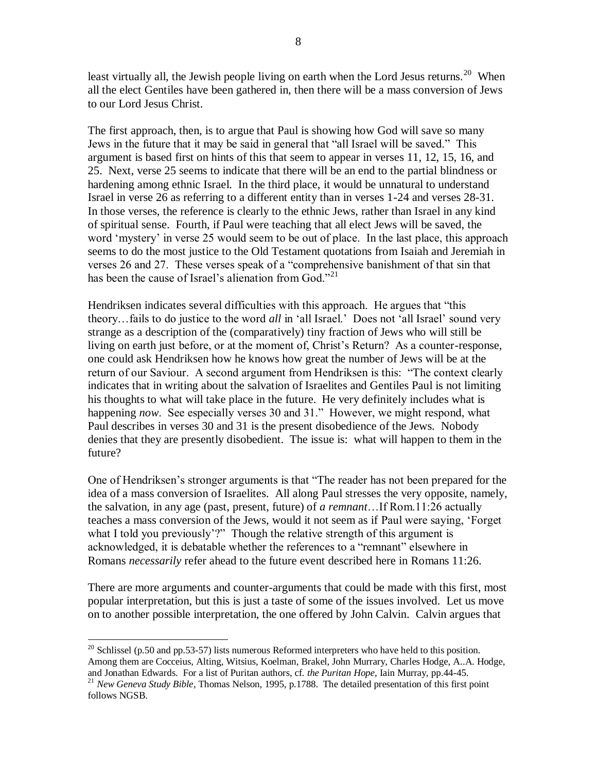least virtually all, the Jewish people living on earth when the Lord Jesus returns.<sup>20</sup> When all the elect Gentiles have been gathered in, then there will be a mass conversion of Jews to our Lord Jesus Christ.

The first approach, then, is to argue that Paul is showing how God will save so many Jews in the future that it may be said in general that "all Israel will be saved." This argument is based first on hints of this that seem to appear in verses 11, 12, 15, 16, and 25. Next, verse 25 seems to indicate that there will be an end to the partial blindness or hardening among ethnic Israel. In the third place, it would be unnatural to understand Israel in verse 26 as referring to a different entity than in verses 1-24 and verses 28-31. In those verses, the reference is clearly to the ethnic Jews, rather than Israel in any kind of spiritual sense. Fourth, if Paul were teaching that all elect Jews will be saved, the word "mystery" in verse 25 would seem to be out of place. In the last place, this approach seems to do the most justice to the Old Testament quotations from Isaiah and Jeremiah in verses 26 and 27. These verses speak of a "comprehensive banishment of that sin that has been the cause of Israel's alienation from God."<sup>21</sup>

Hendriksen indicates several difficulties with this approach. He argues that "this theory…fails to do justice to the word *all* in "all Israel." Does not "all Israel" sound very strange as a description of the (comparatively) tiny fraction of Jews who will still be living on earth just before, or at the moment of, Christ"s Return? As a counter-response, one could ask Hendriksen how he knows how great the number of Jews will be at the return of our Saviour. A second argument from Hendriksen is this: "The context clearly indicates that in writing about the salvation of Israelites and Gentiles Paul is not limiting his thoughts to what will take place in the future. He very definitely includes what is happening *now*. See especially verses 30 and 31." However, we might respond, what Paul describes in verses 30 and 31 is the present disobedience of the Jews. Nobody denies that they are presently disobedient. The issue is: what will happen to them in the future?

One of Hendriksen"s stronger arguments is that "The reader has not been prepared for the idea of a mass conversion of Israelites. All along Paul stresses the very opposite, namely, the salvation, in any age (past, present, future) of *a remnant*…If Rom.11:26 actually teaches a mass conversion of the Jews, would it not seem as if Paul were saying, "Forget what I told you previously'?" Though the relative strength of this argument is acknowledged, it is debatable whether the references to a "remnant" elsewhere in Romans *necessarily* refer ahead to the future event described here in Romans 11:26.

There are more arguments and counter-arguments that could be made with this first, most popular interpretation, but this is just a taste of some of the issues involved. Let us move on to another possible interpretation, the one offered by John Calvin. Calvin argues that

<sup>&</sup>lt;sup>20</sup> Schlissel (p.50 and pp.53-57) lists numerous Reformed interpreters who have held to this position. Among them are Cocceius, Alting, Witsius, Koelman, Brakel, John Murrary, Charles Hodge, A..A. Hodge, and Jonathan Edwards. For a list of Puritan authors, cf. *the Puritan Hope*, Iain Murray, pp.44-45.

<sup>21</sup> *New Geneva Study Bible*, Thomas Nelson, 1995, p.1788. The detailed presentation of this first point follows NGSB.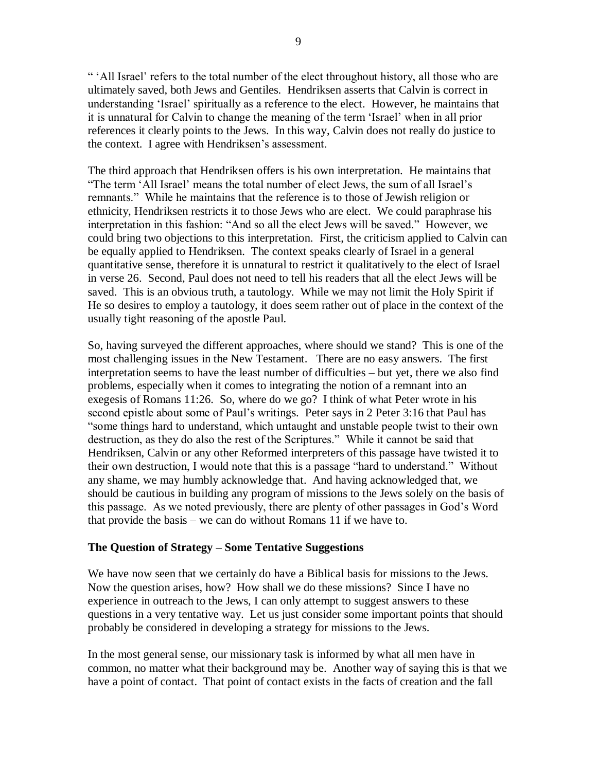" "All Israel" refers to the total number of the elect throughout history, all those who are ultimately saved, both Jews and Gentiles. Hendriksen asserts that Calvin is correct in understanding "Israel" spiritually as a reference to the elect. However, he maintains that it is unnatural for Calvin to change the meaning of the term "Israel" when in all prior references it clearly points to the Jews. In this way, Calvin does not really do justice to the context. I agree with Hendriksen's assessment.

The third approach that Hendriksen offers is his own interpretation. He maintains that "The term "All Israel" means the total number of elect Jews, the sum of all Israel"s remnants." While he maintains that the reference is to those of Jewish religion or ethnicity, Hendriksen restricts it to those Jews who are elect. We could paraphrase his interpretation in this fashion: "And so all the elect Jews will be saved." However, we could bring two objections to this interpretation. First, the criticism applied to Calvin can be equally applied to Hendriksen. The context speaks clearly of Israel in a general quantitative sense, therefore it is unnatural to restrict it qualitatively to the elect of Israel in verse 26. Second, Paul does not need to tell his readers that all the elect Jews will be saved. This is an obvious truth, a tautology. While we may not limit the Holy Spirit if He so desires to employ a tautology, it does seem rather out of place in the context of the usually tight reasoning of the apostle Paul.

So, having surveyed the different approaches, where should we stand? This is one of the most challenging issues in the New Testament. There are no easy answers. The first interpretation seems to have the least number of difficulties – but yet, there we also find problems, especially when it comes to integrating the notion of a remnant into an exegesis of Romans 11:26. So, where do we go? I think of what Peter wrote in his second epistle about some of Paul"s writings. Peter says in 2 Peter 3:16 that Paul has "some things hard to understand, which untaught and unstable people twist to their own destruction, as they do also the rest of the Scriptures." While it cannot be said that Hendriksen, Calvin or any other Reformed interpreters of this passage have twisted it to their own destruction, I would note that this is a passage "hard to understand." Without any shame, we may humbly acknowledge that. And having acknowledged that, we should be cautious in building any program of missions to the Jews solely on the basis of this passage. As we noted previously, there are plenty of other passages in God"s Word that provide the basis – we can do without Romans 11 if we have to.

## **The Question of Strategy – Some Tentative Suggestions**

We have now seen that we certainly do have a Biblical basis for missions to the Jews. Now the question arises, how? How shall we do these missions? Since I have no experience in outreach to the Jews, I can only attempt to suggest answers to these questions in a very tentative way. Let us just consider some important points that should probably be considered in developing a strategy for missions to the Jews.

In the most general sense, our missionary task is informed by what all men have in common, no matter what their background may be. Another way of saying this is that we have a point of contact. That point of contact exists in the facts of creation and the fall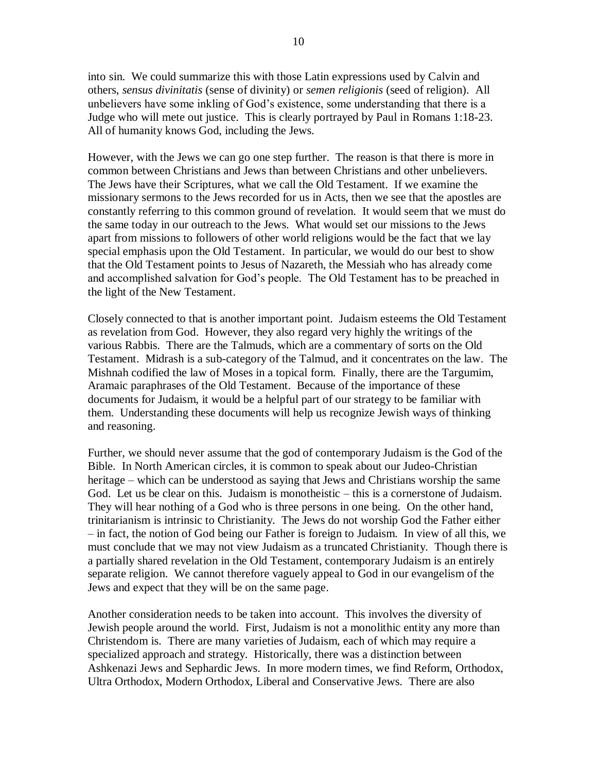into sin. We could summarize this with those Latin expressions used by Calvin and others, *sensus divinitatis* (sense of divinity) or *semen religionis* (seed of religion). All unbelievers have some inkling of God"s existence, some understanding that there is a Judge who will mete out justice. This is clearly portrayed by Paul in Romans 1:18-23. All of humanity knows God, including the Jews.

However, with the Jews we can go one step further. The reason is that there is more in common between Christians and Jews than between Christians and other unbelievers. The Jews have their Scriptures, what we call the Old Testament. If we examine the missionary sermons to the Jews recorded for us in Acts, then we see that the apostles are constantly referring to this common ground of revelation. It would seem that we must do the same today in our outreach to the Jews. What would set our missions to the Jews apart from missions to followers of other world religions would be the fact that we lay special emphasis upon the Old Testament. In particular, we would do our best to show that the Old Testament points to Jesus of Nazareth, the Messiah who has already come and accomplished salvation for God"s people. The Old Testament has to be preached in the light of the New Testament.

Closely connected to that is another important point. Judaism esteems the Old Testament as revelation from God. However, they also regard very highly the writings of the various Rabbis. There are the Talmuds, which are a commentary of sorts on the Old Testament. Midrash is a sub-category of the Talmud, and it concentrates on the law. The Mishnah codified the law of Moses in a topical form. Finally, there are the Targumim, Aramaic paraphrases of the Old Testament. Because of the importance of these documents for Judaism, it would be a helpful part of our strategy to be familiar with them. Understanding these documents will help us recognize Jewish ways of thinking and reasoning.

Further, we should never assume that the god of contemporary Judaism is the God of the Bible. In North American circles, it is common to speak about our Judeo-Christian heritage – which can be understood as saying that Jews and Christians worship the same God. Let us be clear on this. Judaism is monotheistic – this is a cornerstone of Judaism. They will hear nothing of a God who is three persons in one being. On the other hand, trinitarianism is intrinsic to Christianity. The Jews do not worship God the Father either – in fact, the notion of God being our Father is foreign to Judaism. In view of all this, we must conclude that we may not view Judaism as a truncated Christianity. Though there is a partially shared revelation in the Old Testament, contemporary Judaism is an entirely separate religion. We cannot therefore vaguely appeal to God in our evangelism of the Jews and expect that they will be on the same page.

Another consideration needs to be taken into account. This involves the diversity of Jewish people around the world. First, Judaism is not a monolithic entity any more than Christendom is. There are many varieties of Judaism, each of which may require a specialized approach and strategy. Historically, there was a distinction between Ashkenazi Jews and Sephardic Jews. In more modern times, we find Reform, Orthodox, Ultra Orthodox, Modern Orthodox, Liberal and Conservative Jews. There are also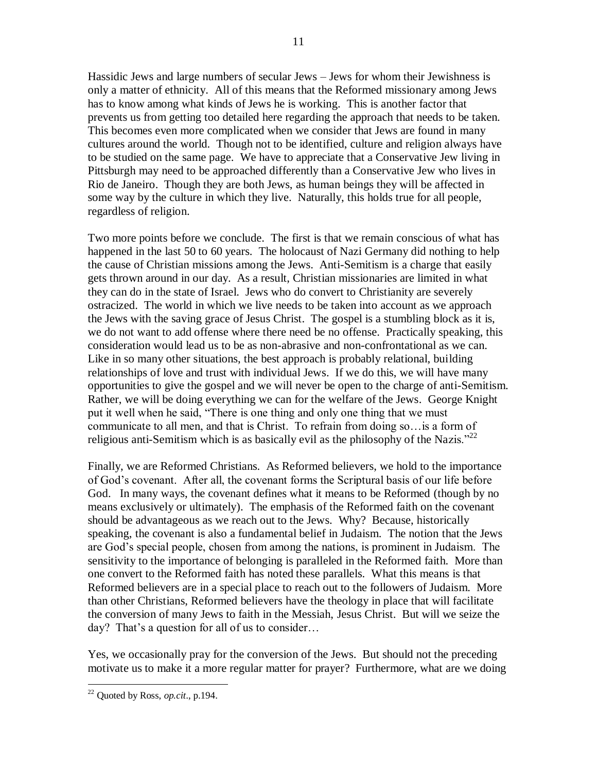Hassidic Jews and large numbers of secular Jews – Jews for whom their Jewishness is only a matter of ethnicity. All of this means that the Reformed missionary among Jews has to know among what kinds of Jews he is working. This is another factor that prevents us from getting too detailed here regarding the approach that needs to be taken. This becomes even more complicated when we consider that Jews are found in many cultures around the world. Though not to be identified, culture and religion always have to be studied on the same page. We have to appreciate that a Conservative Jew living in Pittsburgh may need to be approached differently than a Conservative Jew who lives in Rio de Janeiro. Though they are both Jews, as human beings they will be affected in some way by the culture in which they live. Naturally, this holds true for all people, regardless of religion.

Two more points before we conclude. The first is that we remain conscious of what has happened in the last 50 to 60 years. The holocaust of Nazi Germany did nothing to help the cause of Christian missions among the Jews. Anti-Semitism is a charge that easily gets thrown around in our day. As a result, Christian missionaries are limited in what they can do in the state of Israel. Jews who do convert to Christianity are severely ostracized. The world in which we live needs to be taken into account as we approach the Jews with the saving grace of Jesus Christ. The gospel is a stumbling block as it is, we do not want to add offense where there need be no offense. Practically speaking, this consideration would lead us to be as non-abrasive and non-confrontational as we can. Like in so many other situations, the best approach is probably relational, building relationships of love and trust with individual Jews. If we do this, we will have many opportunities to give the gospel and we will never be open to the charge of anti-Semitism. Rather, we will be doing everything we can for the welfare of the Jews. George Knight put it well when he said, "There is one thing and only one thing that we must communicate to all men, and that is Christ. To refrain from doing so…is a form of religious anti-Semitism which is as basically evil as the philosophy of the Nazis." $^{22}$ 

Finally, we are Reformed Christians. As Reformed believers, we hold to the importance of God"s covenant. After all, the covenant forms the Scriptural basis of our life before God. In many ways, the covenant defines what it means to be Reformed (though by no means exclusively or ultimately). The emphasis of the Reformed faith on the covenant should be advantageous as we reach out to the Jews. Why? Because, historically speaking, the covenant is also a fundamental belief in Judaism. The notion that the Jews are God"s special people, chosen from among the nations, is prominent in Judaism. The sensitivity to the importance of belonging is paralleled in the Reformed faith. More than one convert to the Reformed faith has noted these parallels. What this means is that Reformed believers are in a special place to reach out to the followers of Judaism. More than other Christians, Reformed believers have the theology in place that will facilitate the conversion of many Jews to faith in the Messiah, Jesus Christ. But will we seize the day? That's a question for all of us to consider...

Yes, we occasionally pray for the conversion of the Jews. But should not the preceding motivate us to make it a more regular matter for prayer? Furthermore, what are we doing

<sup>22</sup> Quoted by Ross, *op.cit*., p.194.